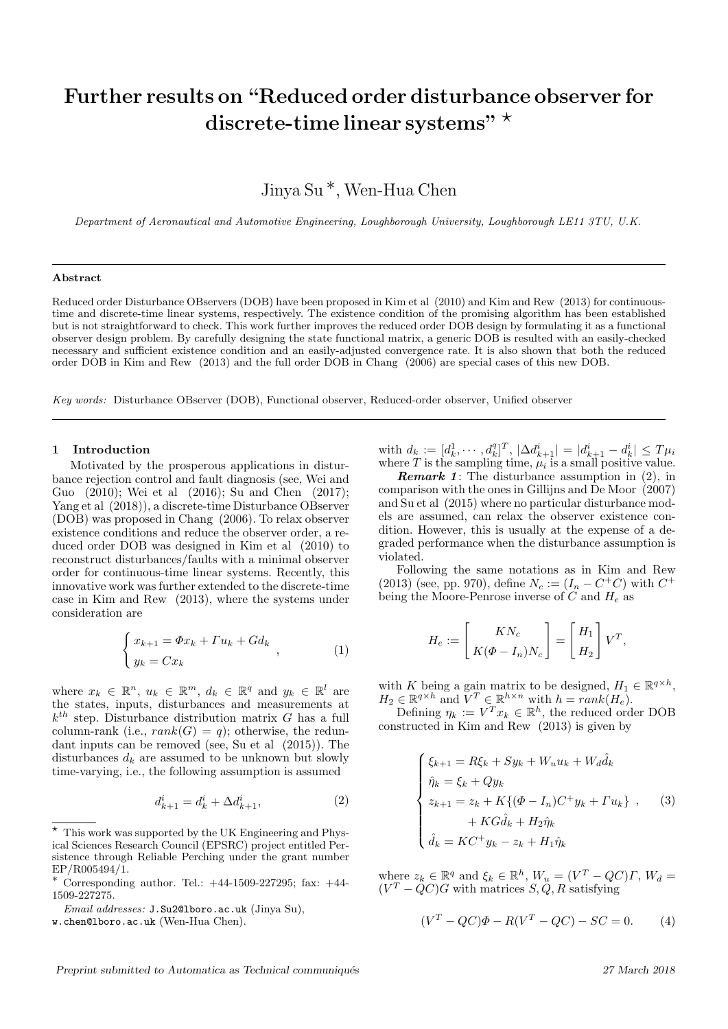# Further results on "Reduced order disturbance observer for discrete-time linear systems"  $\star$

Jinya Su ∗, Wen-Hua Chen

Department of Aeronautical and Automotive Engineering, Loughborough University, Loughborough LE11 3TU, U.K.

### Abstract

Reduced order Disturbance OBservers (DOB) have been proposed in Kim et al (2010) and Kim and Rew (2013) for continuoustime and discrete-time linear systems, respectively. The existence condition of the promising algorithm has been established but is not straightforward to check. This work further improves the reduced order DOB design by formulating it as a functional observer design problem. By carefully designing the state functional matrix, a generic DOB is resulted with an easily-checked necessary and sufficient existence condition and an easily-adjusted convergence rate. It is also shown that both the reduced order DOB in Kim and Rew (2013) and the full order DOB in Chang (2006) are special cases of this new DOB.

Key words: Disturbance OBserver (DOB), Functional observer, Reduced-order observer, Unified observer

## 1 Introduction

Motivated by the prosperous applications in disturbance rejection control and fault diagnosis (see, Wei and Guo (2010); Wei et al (2016); Su and Chen (2017); Yang et al (2018)), a discrete-time Disturbance OBserver (DOB) was proposed in Chang (2006). To relax observer existence conditions and reduce the observer order, a reduced order DOB was designed in Kim et al (2010) to reconstruct disturbances/faults with a minimal observer order for continuous-time linear systems. Recently, this innovative work was further extended to the discrete-time case in Kim and Rew (2013), where the systems under consideration are

$$
\begin{cases} x_{k+1} = \Phi x_k + \Gamma u_k + G d_k \\ y_k = C x_k \end{cases}
$$
 (1)

where  $x_k \in \mathbb{R}^n$ ,  $u_k \in \mathbb{R}^m$ ,  $d_k \in \mathbb{R}^q$  and  $y_k \in \mathbb{R}^l$  are the states, inputs, disturbances and measurements at  $k^{th}$  step. Disturbance distribution matrix G has a full column-rank (i.e.,  $rank(G) = q$ ); otherwise, the redundant inputs can be removed (see, Su et al (2015)). The disturbances  $d_k$  are assumed to be unknown but slowly time-varying, i.e., the following assumption is assumed

$$
d_{k+1}^i = d_k^i + \Delta d_{k+1}^i,\t\t(2)
$$

with  $d_k := [d_k^1, \cdots, d_k^q]^T$ ,  $|\Delta d_{k+1}^i| = |d_{k+1}^i - d_k^i| \le T\mu_i$ where  $T$  is the sampling time,  $\mu_i$  is a small positive value.

**Remark 1:** The disturbance assumption in  $(2)$ , in comparison with the ones in Gillijns and De Moor (2007) and Su et al (2015) where no particular disturbance models are assumed, can relax the observer existence condition. However, this is usually at the expense of a degraded performance when the disturbance assumption is violated.

Following the same notations as in Kim and Rew (2013) (see, pp. 970), define  $N_c := (I_n - C^+C)$  with  $C^+$ being the Moore-Penrose inverse of  $C$  and  $H_e$  as

$$
H_e := \begin{bmatrix} KN_c \\ K(\Phi - I_n)N_c \end{bmatrix} = \begin{bmatrix} H_1 \\ H_2 \end{bmatrix} V^T,
$$

with K being a gain matrix to be designed,  $H_1 \in \mathbb{R}^{q \times h}$ ,  $H_2 \in \mathbb{R}^{q \times h}$  and  $\breve{V}^T \in \mathbb{R}^{h \times n}$  with  $h = \breve{rank}(H_e)$ .

Defining  $\eta_k := V^T x_k \in \mathbb{R}^h$ , the reduced order DOB constructed in Kim and Rew (2013) is given by

$$
\begin{cases} \xi_{k+1} = R\xi_k + Sy_k + W_u u_k + W_d \hat{d}_k \\ \hat{\eta}_k = \xi_k + Qy_k \\ z_{k+1} = z_k + K\{(\Phi - I_n)C^+ y_k + \Gamma u_k\} , \quad (3) \\ + KG \hat{d}_k + H_2 \hat{\eta}_k \\ \hat{d}_k = K C^+ y_k - z_k + H_1 \hat{\eta}_k \end{cases}
$$

where  $z_k \in \mathbb{R}^q$  and  $\xi_k \in \mathbb{R}^h$ ,  $W_u = (V^T - QC)\Gamma$ ,  $W_d =$  $(V^T - QC)G$  with matrices  $S, Q, R$  satisfying

$$
(VT - QC)\Phi - R(VT - QC) - SC = 0.
$$
 (4)

<sup>?</sup> This work was supported by the UK Engineering and Physical Sciences Research Council (EPSRC) project entitled Persistence through Reliable Perching under the grant number EP/R005494/1.

<sup>∗</sup> Corresponding author. Tel.: +44-1509-227295; fax: +44- 1509-227275.

Email addresses: J.Su2@lboro.ac.uk (Jinya Su),

w.chen@lboro.ac.uk (Wen-Hua Chen).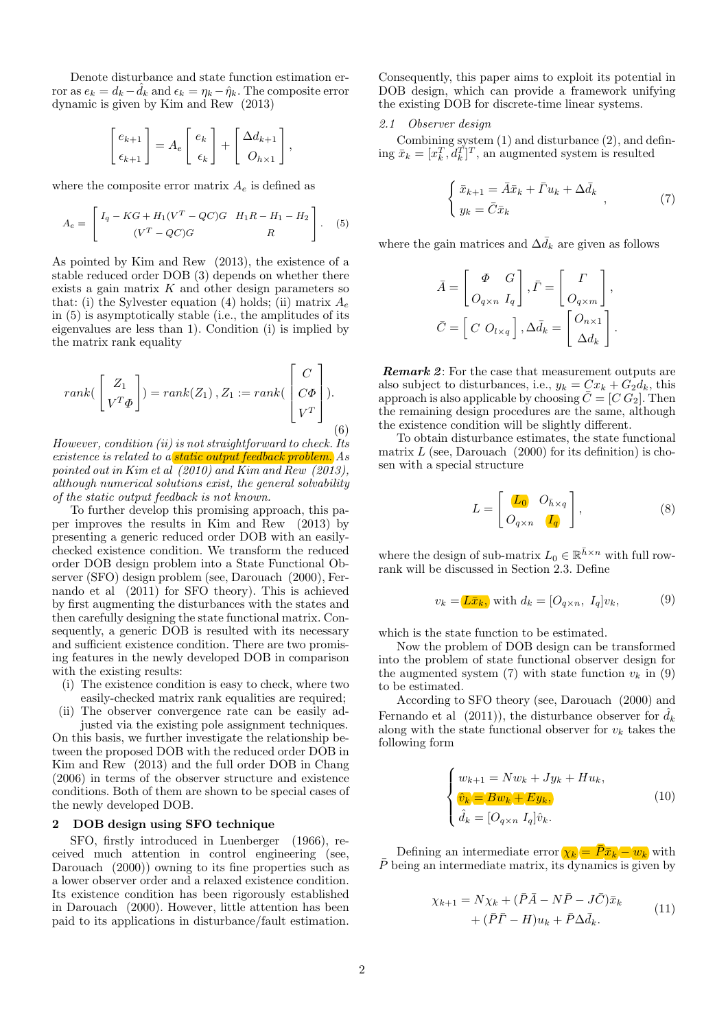Denote disturbance and state function estimation error as  $e_k = d_k - d_k$  and  $\epsilon_k = \eta_k - \hat{\eta}_k$ . The composite error dynamic is given by Kim and Rew (2013)

$$
\begin{bmatrix} e_{k+1} \\ \epsilon_{k+1} \end{bmatrix} = A_e \begin{bmatrix} e_k \\ \epsilon_k \end{bmatrix} + \begin{bmatrix} \Delta d_{k+1} \\ O_{h \times 1} \end{bmatrix},
$$

where the composite error matrix  $A_e$  is defined as

$$
A_e = \begin{bmatrix} I_q - KG + H_1(V^T - QC)G & H_1R - H_1 - H_2 \ (V^T - QC)G & R \end{bmatrix}.
$$
 (5)

As pointed by Kim and Rew (2013), the existence of a stable reduced order DOB (3) depends on whether there exists a gain matrix  $K$  and other design parameters so that: (i) the Sylvester equation (4) holds; (ii) matrix  $A_e$ in (5) is asymptotically stable (i.e., the amplitudes of its eigenvalues are less than 1). Condition (i) is implied by the matrix rank equality

$$
rank(\begin{bmatrix} Z_1 \\ V^T \Phi \end{bmatrix}) = rank(Z_1), Z_1 := rank(\begin{bmatrix} C \\ C\Phi \\ V^T \end{bmatrix}).
$$
\n(6)

However, condition (ii) is not straightforward to check. Its existence is related to a static output feedback problem. As pointed out in Kim et al (2010) and Kim and Rew (2013), although numerical solutions exist, the general solvability of the static output feedback is not known.

To further develop this promising approach, this paper improves the results in Kim and Rew (2013) by presenting a generic reduced order DOB with an easilychecked existence condition. We transform the reduced order DOB design problem into a State Functional Observer (SFO) design problem (see, Darouach (2000), Fernando et al (2011) for SFO theory). This is achieved by first augmenting the disturbances with the states and then carefully designing the state functional matrix. Consequently, a generic DOB is resulted with its necessary and sufficient existence condition. There are two promising features in the newly developed DOB in comparison with the existing results:

- (i) The existence condition is easy to check, where two easily-checked matrix rank equalities are required;
- (ii) The observer convergence rate can be easily adjusted via the existing pole assignment techniques.

On this basis, we further investigate the relationship between the proposed DOB with the reduced order DOB in Kim and Rew (2013) and the full order DOB in Chang (2006) in terms of the observer structure and existence conditions. Both of them are shown to be special cases of the newly developed DOB.

## 2 DOB design using SFO technique

SFO, firstly introduced in Luenberger (1966), received much attention in control engineering (see, Darouach (2000)) owning to its fine properties such as a lower observer order and a relaxed existence condition. Its existence condition has been rigorously established in Darouach (2000). However, little attention has been paid to its applications in disturbance/fault estimation. Consequently, this paper aims to exploit its potential in DOB design, which can provide a framework unifying the existing DOB for discrete-time linear systems.

## 2.1 Observer design

Combining system (1) and disturbance (2), and defining  $\bar{x}_k = [x_k^T, d_k^T]^T$ , an augmented system is resulted

$$
\begin{cases} \bar{x}_{k+1} = \bar{A}\bar{x}_k + \bar{\Gamma}u_k + \Delta\bar{d}_k \\ y_k = \bar{C}\bar{x}_k \end{cases} , \tag{7}
$$

where the gain matrices and  $\Delta d_k$  are given as follows

$$
\bar{A} = \begin{bmatrix} \Phi & G \\ O_{q \times n} & I_q \end{bmatrix}, \bar{\Gamma} = \begin{bmatrix} \Gamma \\ O_{q \times m} \end{bmatrix},
$$

$$
\bar{C} = \begin{bmatrix} C & O_{l \times q} \end{bmatrix}, \Delta \bar{d}_k = \begin{bmatrix} O_{n \times 1} \\ \Delta d_k \end{bmatrix}.
$$

Remark 2: For the case that measurement outputs are also subject to disturbances, i.e.,  $y_k = Cx_k + G_2d_k$ , this approach is also applicable by choosing  $\overline{C} = [C \ G_2]$ . Then the remaining design procedures are the same, although the existence condition will be slightly different.

To obtain disturbance estimates, the state functional matrix  $L$  (see, Darouach (2000) for its definition) is chosen with a special structure

$$
L = \begin{bmatrix} \mathbf{L_0} & O_{\bar{h} \times q} \\ O_{q \times n} & \mathbf{I_q} \end{bmatrix},\tag{8}
$$

where the design of sub-matrix  $L_0 \in \mathbb{R}^{\bar{h} \times n}$  with full rowrank will be discussed in Section 2.3. Define

$$
v_k = \boxed{L\bar{x}_k}, \text{ with } d_k = [O_{q \times n}, I_q]v_k,\tag{9}
$$

which is the state function to be estimated.

Now the problem of DOB design can be transformed into the problem of state functional observer design for the augmented system (7) with state function  $v_k$  in (9) to be estimated.

According to SFO theory (see, Darouach (2000) and Fernando et al (2011)), the disturbance observer for  $\hat{d}_k$ along with the state functional observer for  $v_k$  takes the following form

$$
\begin{cases}\nw_{k+1} = Nw_k + Jy_k + Hu_k, \\
\hat{v}_k = Bw_k + Ey_k, \\
\hat{d}_k = [O_{q \times n} I_q] \hat{v}_k.\n\end{cases}
$$
\n(10)

Defining an intermediate error  $\chi_k = \overline{P} \overline{x}_k - w_k$  with  $\overline{P}$  being an intermediate matrix, its dynamics is given by

$$
\chi_{k+1} = N\chi_k + (\bar{P}\bar{A} - N\bar{P} - J\bar{C})\bar{x}_k + (\bar{P}\bar{P} - H)u_k + \bar{P}\Delta\bar{d}_k.
$$
\n(11)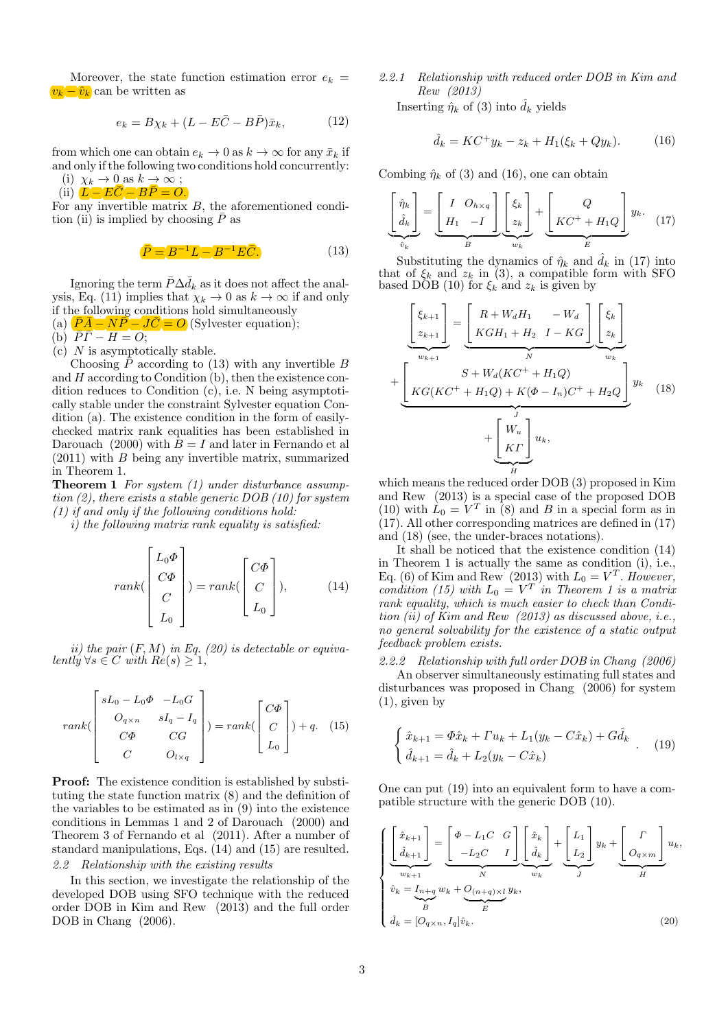Moreover, the state function estimation error  $e_k =$  $v_k - \hat{v}_k$  can be written as

$$
e_k = B\chi_k + (L - E\bar{C} - B\bar{P})\bar{x}_k, \qquad (12)
$$

from which one can obtain  $e_k \to 0$  as  $k \to \infty$  for any  $\bar{x}_k$  if and only if the following two conditions hold concurrently:

(i)  $\chi_k \to 0$  as  $k \to \infty$ ; (ii)  $\overrightarrow{L} - \overrightarrow{EC} - \overrightarrow{BP} = 0$ .

For any invertible matrix  $B$ , the aforementioned condition (ii) is implied by choosing  $\bar{P}$  as

$$
\overline{P} = B^{-1}L - B^{-1}E\overline{C}.
$$
\n(13)

Ignoring the term  $\bar{P}\Delta \bar{d}_k$  as it does not affect the analysis, Eq. (11) implies that  $\chi_k \to 0$  as  $k \to \infty$  if and only if the following conditions hold simultaneously

(a)  $\overrightarrow{PA} - \overrightarrow{NP} - \overrightarrow{JC} = O$  (Sylvester equation);

(b)  $\overline{P}\overline{\Gamma}-H=O;$ 

 $(c)$  N is asymptotically stable.

Choosing  $\bar{P}$  according to (13) with any invertible B and H according to Condition (b), then the existence condition reduces to Condition (c), i.e. N being asymptotically stable under the constraint Sylvester equation Condition (a). The existence condition in the form of easilychecked matrix rank equalities has been established in Darouach (2000) with  $B = I$  and later in Fernando et al (2011) with B being any invertible matrix, summarized in Theorem 1.

Theorem 1 For system (1) under disturbance assumption  $(2)$ , there exists a stable generic DOB  $(10)$  for system  $(1)$  if and only if the following conditions hold:

i) the following matrix rank equality is satisfied:

$$
rank(\begin{bmatrix}L_0\Phi\\C\Phi\\C\\L_0\end{bmatrix}) = rank(\begin{bmatrix}C\Phi\\C\\L_0\end{bmatrix}), \qquad (14)
$$

ii) the pair  $(F, M)$  in Eq. (20) is detectable or equivalently  $\forall s \in C$  with  $Re(s) \geq 1$ ,

$$
rank\begin{pmatrix} sL_0 - L_0\Phi & -L_0G \\ O_{q\times n} & sI_q - I_q \\ C\Phi & CG \\ C & O_{l\times q} \end{pmatrix} = rank\begin{pmatrix} C\Phi \\ C \\ L_0 \end{pmatrix} + q. \quad (15)
$$

Proof: The existence condition is established by substituting the state function matrix (8) and the definition of the variables to be estimated as in (9) into the existence conditions in Lemmas 1 and 2 of Darouach (2000) and Theorem 3 of Fernando et al (2011). After a number of standard manipulations, Eqs. (14) and (15) are resulted. 2.2 Relationship with the existing results

In this section, we investigate the relationship of the developed DOB using SFO technique with the reduced order DOB in Kim and Rew (2013) and the full order DOB in Chang (2006).

2.2.1 Relationship with reduced order DOB in Kim and Rew (2013)

Inserting  $\hat{\eta}_k$  of (3) into  $\hat{d}_k$  yields

$$
\hat{d}_k = KC^+ y_k - z_k + H_1(\xi_k + Qy_k). \tag{16}
$$

Combing  $\hat{\eta}_k$  of (3) and (16), one can obtain

$$
\underbrace{\begin{bmatrix} \hat{\eta}_k \\ \hat{d}_k \end{bmatrix}}_{\hat{v}_k} = \underbrace{\begin{bmatrix} I & O_{h \times q} \\ H_1 & -I \end{bmatrix}}_{B} \underbrace{\begin{bmatrix} \xi_k \\ z_k \end{bmatrix}}_{w_k} + \underbrace{\begin{bmatrix} Q \\ KC^+ + H_1 Q \end{bmatrix}}_{E} y_k. \tag{17}
$$

Substituting the dynamics of  $\hat{\eta}_k$  and  $\hat{d}_k$  in (17) into that of  $\xi_k$  and  $z_k$  in (3), a compatible form with SFO based DOB (10) for  $\xi_k$  and  $z_k$  is given by

$$
\left[\frac{\xi_{k+1}}{z_{k+1}}\right] = \underbrace{\left[R + W_d H_1 \quad -W_d \atop KGH_1 + H_2 \quad I - KG\right]}_{N} \underbrace{\left[\xi_k \atop z_k\right]}_{w_k} + \underbrace{\left[\frac{S + W_d (KC^+ + H_1 Q)}{N} + W_d (KC^+ + H_1 Q) + K(\Phi - I_n) C^+ + H_2 Q\right]}_{+} y_k \quad (18)
$$
\n
$$
+ \underbrace{\left[\frac{W_u}{KT}\right]_{u_k}}_{H} u_k,
$$

which means the reduced order DOB (3) proposed in Kim and Rew (2013) is a special case of the proposed DOB (10) with  $\hat{L}_0 = V^T$  in (8) and B in a special form as in (17). All other corresponding matrices are defined in (17) and (18) (see, the under-braces notations).

It shall be noticed that the existence condition (14) in Theorem 1 is actually the same as condition (i), i.e., Eq. (6) of Kim and Rew (2013) with  $L_0 = V^T$ . However, condition (15) with  $L_0 = V^T$  in Theorem 1 is a matrix rank equality, which is much easier to check than Condition (ii) of Kim and Rew (2013) as discussed above, i.e., no general solvability for the existence of a static output feedback problem exists.

2.2.2 Relationship with full order DOB in Chang (2006) An observer simultaneously estimating full states and disturbances was proposed in Chang (2006) for system (1), given by

$$
\begin{cases} \n\hat{x}_{k+1} = \Phi \hat{x}_k + \Gamma u_k + L_1(y_k - C \hat{x}_k) + G \hat{d}_k \\
\hat{d}_{k+1} = \hat{d}_k + L_2(y_k - C \hat{x}_k) \n\end{cases} (19)
$$

One can put (19) into an equivalent form to have a compatible structure with the generic DOB (10).

$$
\begin{cases}\n\left[\frac{\hat{x}_{k+1}}{\hat{d}_{k+1}}\right] = \underbrace{\begin{bmatrix} \Phi - L_1 C & G \\ -L_2 C & I \end{bmatrix}}_{N} \underbrace{\begin{bmatrix} \hat{x}_k \\ \hat{d}_k \end{bmatrix}}_{y_k} + \underbrace{\begin{bmatrix} L_1 \\ L_2 \end{bmatrix}}_{y_k} y_k + \underbrace{\begin{bmatrix} \sigma \\ O_{q \times m} \end{bmatrix}}_{H} u_k, \\
\hat{v}_k = \underbrace{I_{n+q}}_{B} w_k + \underbrace{O_{(n+q) \times l}}_{E} y_k, \\
\hat{d}_k = [O_{q \times n}, I_q] \hat{v}_k.\n\end{cases}
$$
\n(20)